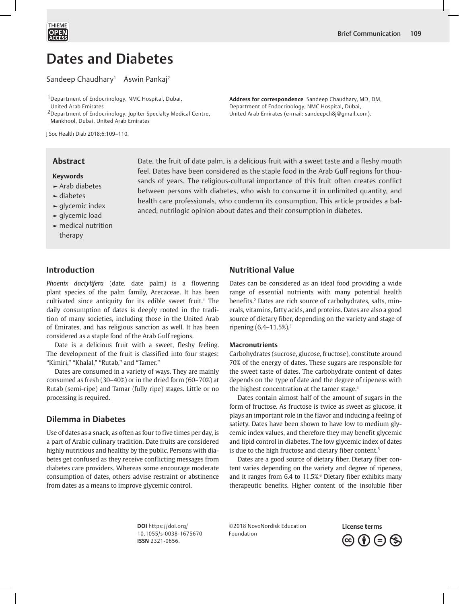Dates and Diabetes

Sandeep Chaudhary<sup>1</sup> Aswin Pankaj<sup>2</sup>

1Department of Endocrinology, NMC Hospital, Dubai, United Arab Emirates

2Department of Endocrinology, Jupiter Specialty Medical Centre, Mankhool, Dubai, United Arab Emirates

J Soc Health Diab 2018;6:109–110.

# **Abstract**

### **Keywords**

- **►** Arab diabetes
- **►** diabetes
- **►** glycemic index
- **►** glycemic load
- **►** medical nutrition therapy

# United Arab Emirates (e-mail: sandeepch8j@gmail.com).

**Address for correspondence** Sandeep Chaudhary, MD, DM, Department of Endocrinology, NMC Hospital, Dubai,

Date, the fruit of date palm, is a delicious fruit with a sweet taste and a fleshy mouth feel. Dates have been considered as the staple food in the Arab Gulf regions for thousands of years. The religious-cultural importance of this fruit often creates conflict between persons with diabetes, who wish to consume it in unlimited quantity, and health care professionals, who condemn its consumption. This article provides a balanced, nutrilogic opinion about dates and their consumption in diabetes.

# **Introduction**

*Phoenix dactylifera* (date, date palm) is a flowering plant species of the palm family, Arecaceae. It has been cultivated since antiquity for its edible sweet fruit.<sup>1</sup> The daily consumption of dates is deeply rooted in the tradition of many societies, including those in the United Arab of Emirates, and has religious sanction as well. It has been considered as a staple food of the Arab Gulf regions.

Date is a delicious fruit with a sweet, fleshy feeling. The development of the fruit is classified into four stages: "Kimiri," "Khalal," "Rutab," and "Tamer."

Dates are consumed in a variety of ways. They are mainly consumed as fresh (30–40%) or in the dried form (60–70%) at Rutab (semi-ripe) and Tamar (fully ripe) stages. Little or no processing is required.

# **Dilemma in Diabetes**

Use of dates as a snack, as often as four to five times per day, is a part of Arabic culinary tradition. Date fruits are considered highly nutritious and healthy by the public. Persons with diabetes get confused as they receive conflicting messages from diabetes care providers. Whereas some encourage moderate consumption of dates, others advise restraint or abstinence from dates as a means to improve glycemic control.

# **Nutritional Value**

Dates can be considered as an ideal food providing a wide range of essential nutrients with many potential health benefits.2 Dates are rich source of carbohydrates, salts, minerals, vitamins, fatty acids, and proteins. Dates are also a good source of dietary fiber, depending on the variety and stage of ripening (6.4–11.5%).3

### **Macronutrients**

Carbohydrates (sucrose, glucose, fructose), constitute around 70% of the energy of dates. These sugars are responsible for the sweet taste of dates. The carbohydrate content of dates depends on the type of date and the degree of ripeness with the highest concentration at the tamer stage.<sup>4</sup>

Dates contain almost half of the amount of sugars in the form of fructose. As fructose is twice as sweet as glucose, it plays an important role in the flavor and inducing a feeling of satiety. Dates have been shown to have low to medium glycemic index values, and therefore they may benefit glycemic and lipid control in diabetes. The low glycemic index of dates is due to the high fructose and dietary fiber content.<sup>5</sup>

Dates are a good source of dietary fiber. Dietary fiber content varies depending on the variety and degree of ripeness, and it ranges from  $6.4$  to  $11.5\%$ <sup>6</sup> Dietary fiber exhibits many therapeutic benefits. Higher content of the insoluble fiber

**DOI** https://doi.org/ 10.1055/s-0038-1675670 **ISSN** 2321-0656.

©2018 NovoNordisk Education Foundation

**License terms**  $\left(\mathrm{c}\right)\left(\mathbf{i}\right)$